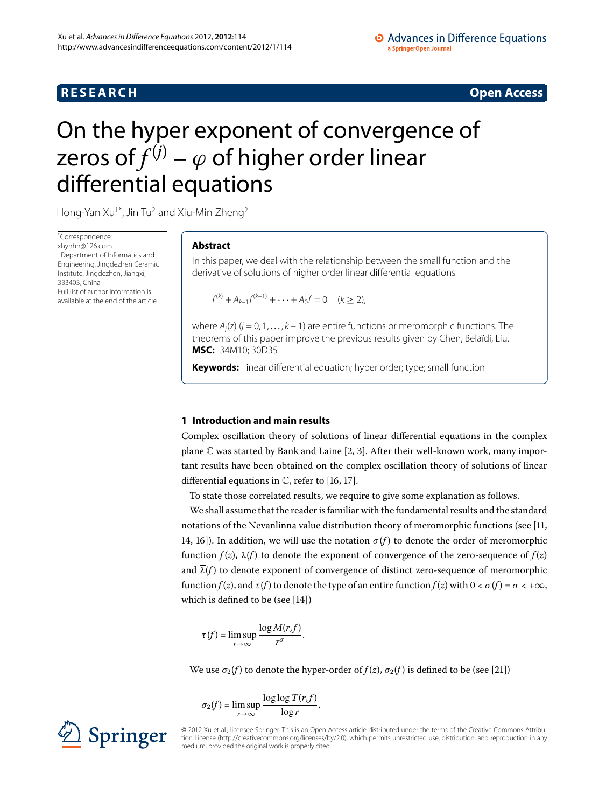# **RESEARCH CONSTRUCTER ACCESS**

# <span id="page-0-0"></span>On the hyper exponent of convergence of zeros of  $f^{(j)} - \varphi$  of higher order linear differential equations

Hong-Yan Xu<sup>1[\\*](#page-0-0)</sup>, Jin Tu<sup>2</sup> and Xiu-Min Zheng<sup>2</sup>

\* Correspondence: [xhyhhh@126.com](mailto:xhyhhh@126.com) <sup>1</sup> Department of Informatics and Engineering, Jingdezhen Ceramic Institute, Jingdezhen, Jiangxi, 333403, China Full list of author information is available at the end of the article

# **Abstract**

In this paper, we deal with the relationship between the small function and the derivative of solutions of higher order linear differential equations

 $f^{(k)} + A_{k-1}f^{(k-1)} + \cdots + A_0f = 0 \quad (k \ge 2),$ 

where  $A_i(z)$  ( $j = 0, 1, ..., k - 1$ ) are entire functions or meromorphic functions. The theorems of this paper improve the previous results given by Chen, Belaïdi, Liu. **MSC:** 34M10; 30D35

**Keywords:** linear differential equation; hyper order; type; small function

# **1 Introduction and main results**

Complex oscillation theory of solutions of linear differential equations in the complex plane  $\mathbb C$  was started by Bank and Laine [2[,](#page-15-2) 3]. After their well-known work, many important results have been obtained on the complex oscillation theory of solutions of linear differential equations in  $\mathbb C$ , refer to [\[](#page-15-4)16, 17[\]](#page-15-5).

To state those correlated results, we require to give some explanation as follows.

We shall assume that the reader is familiar with the fundamental results and the standard notations of the Nevanlinna value distribution theory of meromorphic functions (see  $[11,$  $[11,$ 14, 16). In addition, we will use the notation  $\sigma(f)$  to denote the order of meromorphic function  $f(z)$ ,  $\lambda(f)$  to denote the exponent of convergence of the zero-sequence of  $f(z)$ and  $\lambda(f)$  to denote exponent of convergence of distinct zero-sequence of meromorphic function *f* (*z*), and *τ* (*f* ) to denote the type of an entire function *f* (*z*) with < *σ*(*f* ) = *σ* < +∞, which is defined to be (see [14[\]](#page-15-7))

$$
\tau(f) = \limsup_{r \to \infty} \frac{\log M(r, f)}{r^{\sigma}}.
$$

We use  $\sigma_2(f)$  to denote the hyper-order of  $f(z)$ ,  $\sigma_2(f)$  is defined to be (see [\[](#page-15-8)21])

$$
\sigma_2(f) = \limsup_{r \to \infty} \frac{\log \log T(r, f)}{\log r}.
$$

© 2012 Xu et al.; licensee Springer. This is an Open Access article distributed under the terms of the Creative Commons Attribution License ([http://creativecommons.org/licenses/by/2.0\)](http://creativecommons.org/licenses/by/2.0), which permits unrestricted use, distribution, and reproduction in any medium, provided the original work is properly cited.

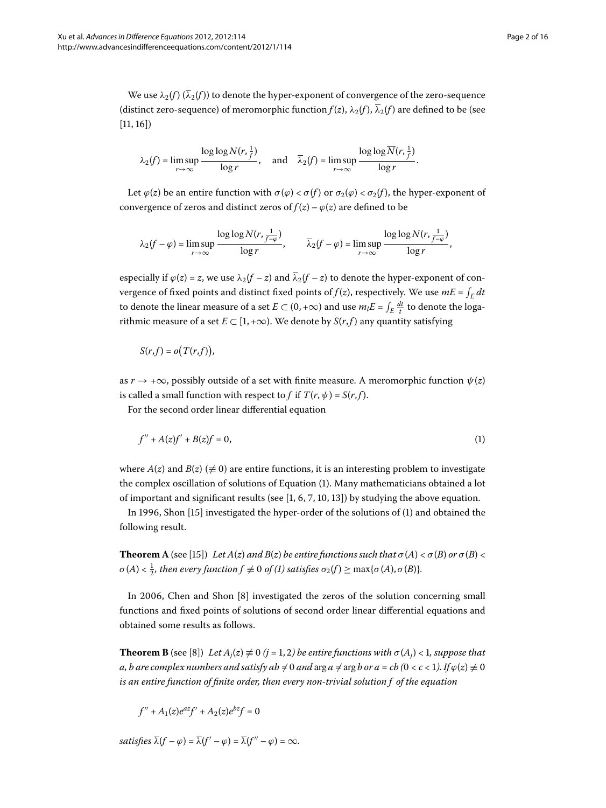We use  $\lambda_2(f)$  ( $\overline{\lambda}_2(f)$ ) to denote the hyper-exponent of convergence of the zero-sequence (distinct zero-sequence) of meromorphic function  $f(z)$ ,  $\lambda_2(f)$ ,  $\overline{\lambda}_2(f)$  are defined to be (see  $[11, 16]$  $[11, 16]$  $[11, 16]$  $[11, 16]$ 

$$
\lambda_2(f) = \limsup_{r \to \infty} \frac{\log \log N(r, \frac{1}{f})}{\log r}, \quad \text{and} \quad \overline{\lambda}_2(f) = \limsup_{r \to \infty} \frac{\log \log \overline{N}(r, \frac{1}{f})}{\log r}.
$$

Let  $\varphi(z)$  be an entire function with  $\sigma(\varphi) < \sigma(f)$  or  $\sigma_2(\varphi) < \sigma_2(f)$ , the hyper-exponent of convergence of zeros and distinct zeros of  $f(z) - \varphi(z)$  are defined to be

$$
\lambda_2(f-\varphi)=\limsup_{r\to\infty}\frac{\log\log N(r,\frac{1}{f-\varphi})}{\log r},\qquad \overline{\lambda}_2(f-\varphi)=\limsup_{r\to\infty}\frac{\log\log N(r,\frac{1}{f-\varphi})}{\log r},
$$

especially if  $\varphi(z) = z$ , we use  $\lambda_2(f - z)$  and  $\overline{\lambda}_2(f - z)$  to denote the hyper-exponent of convergence of fixed points and distinct fixed points of  $f(z)$ , respectively. We use  $mE = \int_E dt$ to denote the linear measure of a set  $E \subset (0,+\infty)$  and use  $m_l E = \int_E \frac{dt}{t}$  to denote the logarithmic measure of a set  $E \subset [1, +\infty)$ . We denote by  $S(r, f)$  any quantity satisfying

<span id="page-1-0"></span>
$$
S(r,f)=o(T(r,f)),
$$

as  $r \rightarrow +\infty$ , possibly outside of a set with finite measure. A meromorphic function  $\psi(z)$ is called a small function with respect to *f* if  $T(r, \psi) = S(r, f)$ .

For the second order linear differential equation

$$
f'' + A(z)f' + B(z)f = 0,
$$
 (1)

where  $A(z)$  and  $B(z)$  ( $\neq$  0) are entire functions, it is an interesting problem to investigate the complex oscillation of solutions of Equation ([\)](#page-1-0). Many mathematicians obtained a lot of important and significant results (see  $[1, 6, 7, 10, 13]$  $[1, 6, 7, 10, 13]$  $[1, 6, 7, 10, 13]$  $[1, 6, 7, 10, 13]$ ) by studying the above equation.

In 1996, Shon  $[15]$  $[15]$  investigated the hyper-order of the solutions of  $(1)$  $(1)$  and obtained the following result.

<span id="page-1-1"></span>**Theorem A** (see [15[\]](#page-15-14)) *Let A*(*z*) *and B*(*z*) *be entire functions such that*  $\sigma$ (*A*) <  $\sigma$ (*B*) *or*  $\sigma$ (*B*) <  $\sigma(A) < \frac{1}{2}$  $\sigma(A) < \frac{1}{2}$  $\sigma(A) < \frac{1}{2}$ , then every function  $f \not\equiv 0$  of (1) satisfies  $\sigma_2(f) \ge \max{\{\sigma(A), \sigma(B)\}}$ .

In 2006, Chen and Shon [8[\]](#page-15-15) investigated the zeros of the solution concerning small functions and fixed points of solutions of second order linear differential equations and obtained some results as follows.

**Theorem B** (see [8[\]](#page-15-15)) *Let*  $A_i(z) \neq 0$  ( $j = 1, 2$ ) *be entire functions with*  $\sigma(A_i) < 1$ *, suppose that a, b are complex numbers and satisfy ab*  $\neq 0$  *and*  $\arg a \neq \arg b$  *or a* = *cb* (0 < *c* < 1). If  $\varphi(z) \neq 0$ *is an entire function of finite order, then every non-trivial solution f of the equation*

$$
f'' + A_1(z)e^{az}f' + A_2(z)e^{bz}f = 0
$$

*satisfies*  $\overline{\lambda}(f - \varphi) = \overline{\lambda}(f' - \varphi) = \overline{\lambda}(f'' - \varphi) = \infty$ .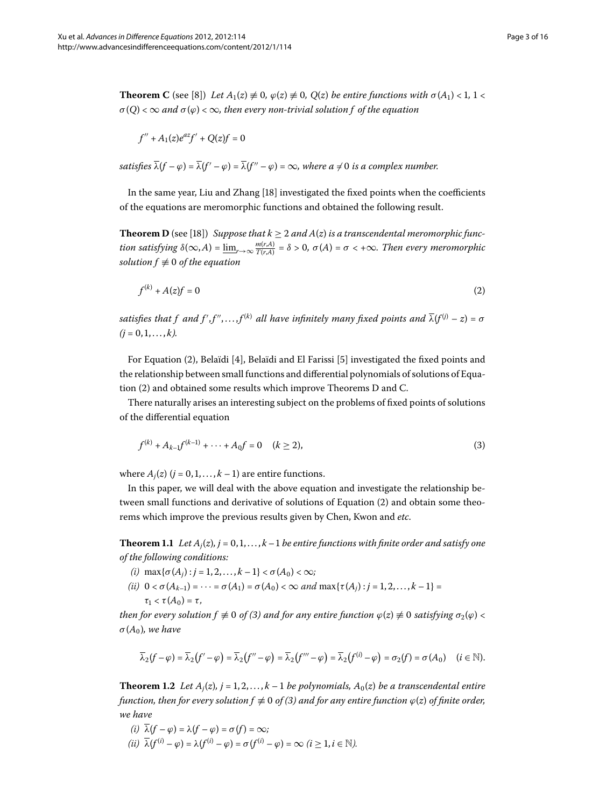<span id="page-2-2"></span>**Theorem C** (see [\[](#page-15-15)8]) *Let*  $A_1(z) \neq 0$ ,  $\varphi(z) \neq 0$ ,  $Q(z)$  *be entire functions with*  $\sigma(A_1) < 1$ ,  $1 <$  $\sigma(Q) < \infty$  *and*  $\sigma(\varphi) < \infty$ *, then every non-trivial solution f of the equation* 

<span id="page-2-1"></span><span id="page-2-0"></span>
$$
f^{\prime\prime}+A_1(z)e^{az}f^\prime+Q(z)f=0
$$

*satisfies*  $\overline{\lambda}(f - \varphi) = \overline{\lambda}(f' - \varphi) = \overline{\lambda}(f'' - \varphi) = \infty$ , where  $a \neq 0$  is a complex number.

In the same year, Liu and Zhang [18[\]](#page-15-16) investigated the fixed points when the coefficients of the equations are meromorphic functions and obtained the following result.

**Theorem D** (see [\[](#page-15-16)18]) *Suppose that*  $k \geq 2$  *and*  $A(z)$  *is a transcendental meromorphic function satisfying*  $\delta(\infty, A) = \underline{\lim}_{r \to \infty} \frac{m(r, A)}{T(r, A)} = \delta > 0$ ,  $\sigma(A) = \sigma < +\infty$ . Then every meromorphic *solution*  $f \not\equiv 0$  *of the equation* 

<span id="page-2-3"></span>
$$
f^{(k)} + A(z)f = 0 \tag{2}
$$

satisfies that  $f$  and  $f', f'', \ldots, f^{(k)}$  all have infinitely many fixed points and  $\overline{\lambda}(f^{(j)} - z) = \sigma$  $(j = 0, 1, \ldots, k)$ .

For Equation [\(](#page-2-0)2), Belaïdi [\[](#page-15-18)4], Belaïdi and El Farissi [5] investigated the fixed points and the relationship between small functions and differential polynomials of solutions of Equa-tion [\(](#page-2-0)2) and obtained some results which improve Theorems [D](#page-2-1) and [C](#page-2-2).

There naturally arises an interesting subject on the problems of fixed points of solutions of the differential equation

$$
f^{(k)} + A_{k-1}f^{(k-1)} + \dots + A_0f = 0 \quad (k \ge 2),
$$
\n(3)

<span id="page-2-4"></span>where  $A_i(z)$  ( $j = 0, 1, ..., k - 1$ ) are entire functions.

In this paper, we will deal with the above equation and investigate the relationship be-tween small functions and derivative of solutions of Equation (2[\)](#page-2-0) and obtain some theorems which improve the previous results given by Chen, Kwon and *etc*.

**Theorem 1.1** Let  $A_i(z)$ ,  $j = 0, 1, ..., k-1$  be entire functions with finite order and satisfy one *of the following conditions:*

- $(i)$  max $\{\sigma(A_i): i = 1, 2, ..., k 1\} < \sigma(A_0) < \infty;$
- <span id="page-2-5"></span>*(ii)*  $0 < \sigma(A_{k-1}) = \cdots = \sigma(A_1) = \sigma(A_0) < \infty$  and  $\max{\{\tau(A_i) : j = 1, 2, ..., k - 1\}} =$  $\tau_1 < \tau(A_0) = \tau$ ,

*then for every solution f*  $\neq$  0 *of [\(](#page-2-3)3) and for any entire function*  $\varphi(z) \neq 0$  *satisfying*  $\sigma_2(\varphi) <$ *σ*(*A*)*, we have*

$$
\overline{\lambda}_2(f-\varphi)=\overline{\lambda}_2(f'-\varphi)=\overline{\lambda}_2(f''-\varphi)=\overline{\lambda}_2(f'''-\varphi)=\overline{\lambda}_2(f^{(i)}-\varphi)=\sigma_2(f)=\sigma(A_0)\quad (i\in\mathbb{N}).
$$

**Theorem 1.2** Let  $A_i(z)$ ,  $j = 1, 2, \ldots, k - 1$  be polynomials,  $A_0(z)$  be a transcendental entire *function, then for every solution f*  $\neq$  0 *of* [\(](#page-2-3)*3*) *and for any entire function*  $\varphi(z)$  *of finite order, we have*

 $(i)$   $\overline{\lambda}(f - \varphi) = \lambda(f - \varphi) = \sigma(f) = \infty;$  $\overline{\lambda}(i\vec{i})$   $\overline{\lambda}(f^{(i)} - \varphi) = \lambda(f^{(i)} - \varphi) = \sigma(f^{(i)} - \varphi) = \infty$   $(i \geq 1, i \in \mathbb{N})$ .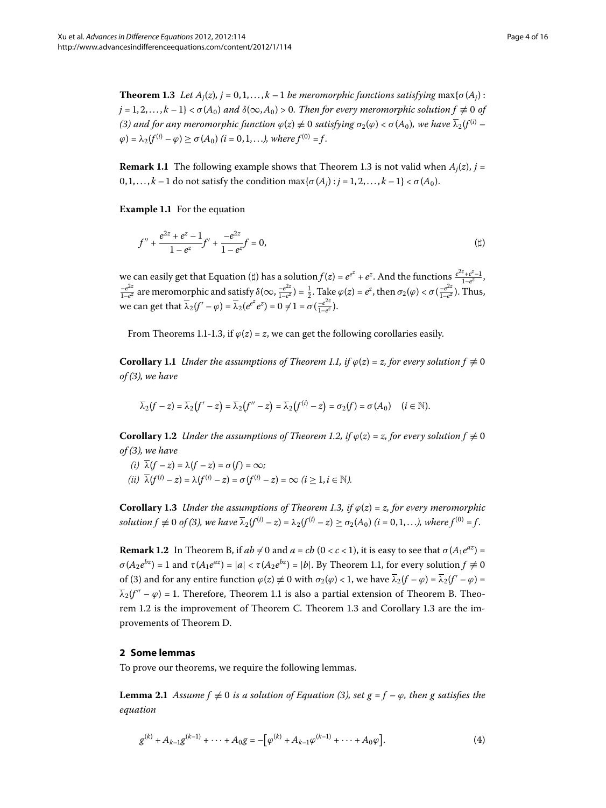<span id="page-3-0"></span>**Theorem 1.3** Let  $A_i(z)$ ,  $j = 0, 1, \ldots, k - 1$  be meromorphic functions satisfying max $\{\sigma(A_i):$  $j = 1, 2, \ldots, k - 1$ } <  $\sigma(A_0)$  *and*  $\delta(\infty, A_0) > 0$ . Then for every meromorphic solution  $f \not\equiv 0$  of  $(3)$  $(3)$  and for any meromorphic function  $\varphi(z) \neq 0$  satisfying  $\sigma_2(\varphi) < \sigma(A_0)$ , we have  $\overline{\lambda}_2(f^{(i)} \varphi$ ) =  $\lambda_2(f^{(i)} - \varphi) > \sigma(A_0)$  (*i* = 0, 1, ...,), where  $f^{(0)} = f$ .

**Remark 1[.](#page-3-0)1** The following example shows that Theorem 1.3 is not valid when  $A_i(z)$ ,  $j =$  $0, 1, \ldots, k-1$  do not satisfy the condition max $\{\sigma(A_i): i = 1, 2, \ldots, k-1\} < \sigma(A_0)$ .

**Example 1.1** For the equation

<span id="page-3-1"></span>
$$
f'' + \frac{e^{2z} + e^z - 1}{1 - e^z} f' + \frac{-e^{2z}}{1 - e^{z}} f = 0,
$$
 (†)

we can easily get that Equation ( $\sharp$ ) has a solution  $f(z) = e^{e^z} + e^z$ . And the functions  $\frac{e^{2z} + e^z - 1}{1 - e^z}$ ,  $-\frac{e^{2z}}{1-e^z}$  are meromorphic and satisfy *δ*(∞,  $\frac{-e^{2z}}{1-e^z}$ ) =  $\frac{1}{2}$ . Take *ϕ*(*z*) =  $e^z$ , then *σ*<sub>2</sub>(*ϕ*) < *σ*( $\frac{-e^{2z}}{1-e^z}$ ). Thus, we can get that  $\overline{\lambda}_2(f' - \varphi) = \overline{\lambda}_2(e^{e^z}e^z) = 0 \neq 1 = \sigma(\frac{-e^{2z}}{1-e^z}).$ 

From Theorems 1[.](#page-3-0)1-1.3, if  $\varphi(z) = z$ , we can get the following corollaries easily.

**Corollary 1.1** *Under the assumptions of Theorem 1.1, if*  $\varphi(z) = z$ , for every solution  $f \neq 0$ *of [\(](#page-2-3)), we have*

$$
\overline{\lambda}_2(f-z)=\overline{\lambda}_2(f'-z)=\overline{\lambda}_2(f''-z)=\overline{\lambda}_2(f^{(i)}-z)=\sigma_2(f)=\sigma(A_0)\quad (i\in\mathbb{N}).
$$

<span id="page-3-2"></span>**Corollary 1.2** *Under the assumptions of Theorem 1.2, if*  $\varphi(z) = z$ , for every solution  $f \neq 0$ *of [\(](#page-2-3)), we have*

- $(i)$   $\overline{\lambda}(f-z) = \lambda(f-z) = \sigma(f) = \infty;$
- $(iii)$   $\overline{\lambda}(f^{(i)} z) = \lambda(f^{(i)} z) = \sigma(f^{(i)} z) = \infty$   $(i > 1, i \in \mathbb{N})$ .

**Corollary 1[.](#page-3-0)3** Under the assumptions of Theorem 1.3, if  $\varphi(z) = z$ , for every meromorphic *solution f*  $\neq$  0 *of* (3[\)](#page-2-3), we have  $\overline{\lambda}_2(f^{(i)} - z) = \lambda_2(f^{(i)} - z) \ge \sigma_2(A_0)$  (*i* = 0,1,...), where  $f^{(0)} = f$ .

**Remark 1.2** In Theorem [B,](#page-1-1) if  $ab \neq 0$  and  $a = cb$  ( $0 < c < 1$ ), it is easy to see that  $\sigma(A_1e^{az}) =$  $\sigma(A_2e^{bz}) = 1$  and  $\tau(A_1e^{az}) = |a| < \tau(A_2e^{bz}) = |b|$ . By Theorem 1.1, for every solution  $f \neq 0$ of [\(](#page-2-3)3) and for any entire function  $\varphi(z) \neq 0$  with  $\sigma_2(\varphi) < 1$ , we have  $\overline{\lambda}_2(f - \varphi) = \overline{\lambda}_2(f' - \varphi)$  $\overline{\lambda}_2(f'' - \varphi) = 1$ [.](#page-2-4) Therefore, Theorem 1.1 is also a partial extension of Theorem [B.](#page-1-1) Theo-rem 1[.](#page-3-2)2 is the improvement of Theorem [C.](#page-2-2) Theorem 1.3 and Corollary 1.3 are the improvements of Theorem [D.](#page-2-1)

# <span id="page-3-4"></span>**2 Some lemmas**

To prove our theorems, we require the following lemmas.

**Lemma 2.1** Assume  $f \neq 0$  is a solution of Equation (3[\)](#page-2-3), set  $g = f - \varphi$ , then g satisfies the *equation*

<span id="page-3-3"></span>
$$
g^{(k)} + A_{k-1}g^{(k-1)} + \dots + A_0g = -\left[\varphi^{(k)} + A_{k-1}\varphi^{(k-1)} + \dots + A_0\varphi\right].
$$
 (4)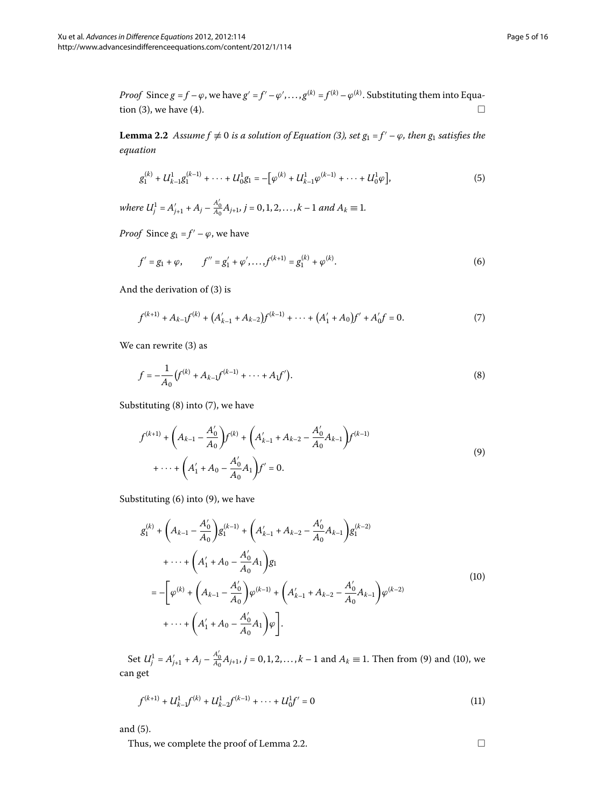<span id="page-4-6"></span>*Proof* Since  $g = f - \varphi$ , we have  $g' = f' - \varphi', \ldots, g^{(k)} = f^{(k)} - \varphi^{(k)}$ . Substituting them into Equation  $(3)$  $(3)$ , we have  $(4)$ .  $\Box$ 

**Lemma 2.2** Assume  $f \neq 0$  is a solution of Equation (3[\)](#page-2-3), set  $g_1 = f' - \varphi$ , then  $g_1$  satisfies the *equation*

<span id="page-4-5"></span><span id="page-4-2"></span><span id="page-4-1"></span>
$$
g_1^{(k)} + U_{k-1}^1 g_1^{(k-1)} + \dots + U_0^1 g_1 = -\big[\varphi^{(k)} + U_{k-1}^1 \varphi^{(k-1)} + \dots + U_0^1 \varphi\big],\tag{5}
$$

*where*  $U_j^1 = A'_{j+1} + A_j - \frac{A'_0}{A_0}A_{j+1}$ ,  $j = 0, 1, 2, ..., k-1$  and  $A_k \equiv 1$ .

*Proof* Since  $g_1 = f' - \varphi$ , we have

$$
f' = g_1 + \varphi, \qquad f'' = g_1' + \varphi', \dots, f^{(k+1)} = g_1^{(k)} + \varphi^{(k)}.
$$
 (6)

And the derivation of  $(3)$  $(3)$  is

<span id="page-4-0"></span>
$$
f^{(k+1)} + A_{k-1}f^{(k)} + (A'_{k-1} + A_{k-2})f^{(k-1)} + \dots + (A'_{1} + A_{0})f' + A'_{0}f = 0.
$$
 (7)

We can rewrite  $(3)$  $(3)$  as

<span id="page-4-3"></span>
$$
f = -\frac{1}{A_0} \left( f^{(k)} + A_{k-1} f^{(k-1)} + \dots + A_1 f' \right). \tag{8}
$$

Substituting  $(8)$  $(8)$  into  $(7)$ , we have

$$
f^{(k+1)} + \left(A_{k-1} - \frac{A'_0}{A_0}\right) f^{(k)} + \left(A'_{k-1} + A_{k-2} - \frac{A'_0}{A_0} A_{k-1}\right) f^{(k-1)} + \dots + \left(A'_1 + A_0 - \frac{A'_0}{A_0} A_1\right) f' = 0.
$$
\n(9)

Substituting  $(6)$  $(6)$  into  $(9)$  $(9)$ , we have

$$
g_1^{(k)} + \left(A_{k-1} - \frac{A'_0}{A_0}\right)g_1^{(k-1)} + \left(A'_{k-1} + A_{k-2} - \frac{A'_0}{A_0}A_{k-1}\right)g_1^{(k-2)}
$$
  
+  $\cdots + \left(A'_1 + A_0 - \frac{A'_0}{A_0}A_1\right)g_1$   
=  $-\left[\varphi^{(k)} + \left(A_{k-1} - \frac{A'_0}{A_0}\right)\varphi^{(k-1)} + \left(A'_{k-1} + A_{k-2} - \frac{A'_0}{A_0}A_{k-1}\right)\varphi^{(k-2)} + \cdots + \left(A'_1 + A_0 - \frac{A'_0}{A_0}A_1\right)\varphi\right].$  (10)

Set  $U_j^1 = A'_{j+1} + A_j - \frac{A'_0}{A_0} A_{j+1}$ ,  $j = 0, 1, 2, ..., k-1$  and  $A_k \equiv 1$ . Then from [\(](#page-4-3)9[\)](#page-4-4) and (10), we can get

$$
f^{(k+1)} + U_{k-1}^1 f^{(k)} + U_{k-2}^1 f^{(k-1)} + \dots + U_0^1 f' = 0
$$
\n(11)

and  $(5)$  $(5)$ .

Thus, we complete the proof of Lemma 2[.](#page-4-6)2.  $\Box$ 

<span id="page-4-7"></span><span id="page-4-4"></span>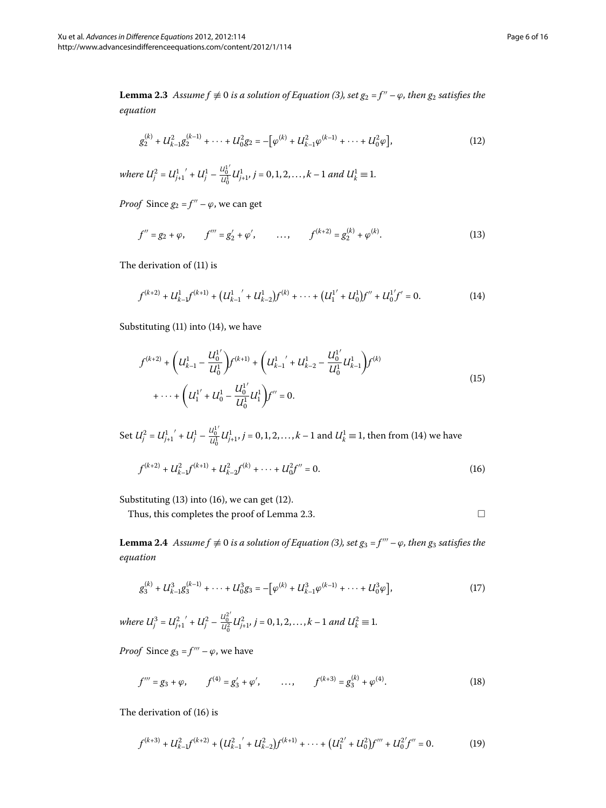<span id="page-5-4"></span>**Lemma 2.3** Assume  $f \neq 0$  is a solution of Equation [\(](#page-2-3)3), set  $g_2 = f'' - \varphi$ , then  $g_2$  satisfies the *equation*

<span id="page-5-3"></span><span id="page-5-1"></span>
$$
g_2^{(k)} + U_{k-1}^2 g_2^{(k-1)} + \dots + U_{0}^2 g_2 = -\left[\varphi^{(k)} + U_{k-1}^2 \varphi^{(k-1)} + \dots + U_{0}^2 \varphi\right],\tag{12}
$$

where 
$$
U_j^2 = U_{j+1}^1' + U_j^1 - \frac{U_0^1'}{U_0^1} U_{j+1}^1
$$
,  $j = 0, 1, 2, ..., k-1$  and  $U_k^1 \equiv 1$ .

*Proof* Since  $g_2 = f'' - \varphi$ , we can get

<span id="page-5-0"></span>
$$
f'' = g_2 + \varphi, \qquad f''' = g'_2 + \varphi', \qquad \dots, \qquad f^{(k+2)} = g_2^{(k)} + \varphi^{(k)}.
$$
 (13)

The derivation of  $(11)$  is

$$
f^{(k+2)} + U_{k-1}^1 f^{(k+1)} + (U_{k-1}^1' + U_{k-2}^1) f^{(k)} + \dots + (U_1^{1'} + U_0^1) f'' + U_0^{1'} f' = 0.
$$
 (14)

Substituting  $(11)$  $(11)$  into  $(14)$  $(14)$ , we have

$$
f^{(k+2)} + \left( U_{k-1}^1 - \frac{U_0^{1'}}{U_0^1} \right) f^{(k+1)} + \left( U_{k-1}^1' + U_{k-2}^1 - \frac{U_0^{1'}}{U_0^1} U_{k-1}^1 \right) f^{(k)}
$$
  
+ \cdots + \left( U\_1^{1'} + U\_0^1 - \frac{U\_0^{1'}}{U\_0^1} U\_1^1 \right) f'' = 0. (15)

<span id="page-5-7"></span>Set  $U_j^2 = U_{j+1}^1' + U_j^1 - \frac{U_0^1'}{U_0^1}$ *U*<sup>1</sup><sub>*U*<sup>1</sup><sub>*U*</sub><sup>1</sup><sub>*U*</sub><sup>1</sup><sub>*J*</sub><sup>1</sup> *j* = 0, 1, 2, . . . , *k* − 1 and *U*<sup>1</sup><sup>*k*</sup> ≡ 1, then from [\(](#page-5-0)14) we have</sub>

$$
f^{(k+2)} + U_{k-1}^2 f^{(k+1)} + U_{k-2}^2 f^{(k)} + \dots + U_0^2 f'' = 0.
$$
 (16)

Substituting  $(13)$  $(13)$  into  $(16)$ , we can get  $(12)$ .

Thus, this completes the proof of Lemma 2.3.

<span id="page-5-6"></span><span id="page-5-5"></span><span id="page-5-2"></span>
$$
\qquad \qquad \Box
$$

**Lemma 2.4** Assume  $f \neq 0$  is a solution of Equation (3[\)](#page-2-3), set  $g_3 = f''' - \varphi$ , then  $g_3$  satisfies the *equation*

$$
g_3^{(k)} + U_{k-1}^3 g_3^{(k-1)} + \dots + U_0^3 g_3 = -\left[\varphi^{(k)} + U_{k-1}^3 \varphi^{(k-1)} + \dots + U_0^3 \varphi\right],\tag{17}
$$

*where*  $U_j^3 = U_{j+1}^2 + U_j^2 - \frac{U_0^2}{U_0^2}$  $\frac{u_0^2}{u_0^2} U_{j+1}^2$ ,  $j = 0, 1, 2, ..., k-1$  and  $U_k^2 \equiv 1$ .

*Proof* Since  $g_3 = f''' - \varphi$ , we have

$$
f''' = g_3 + \varphi, \qquad f^{(4)} = g'_3 + \varphi', \qquad \dots, \qquad f^{(k+3)} = g_3^{(k)} + \varphi^{(4)}.
$$
 (18)

The derivation of  $(16)$  is

$$
f^{(k+3)} + U_{k-1}^2 f^{(k+2)} + (U_{k-1}^2 + U_{k-2}^2) f^{(k+1)} + \dots + (U_1^{2'} + U_0^2) f''' + U_0^{2'} f'' = 0.
$$
 (19)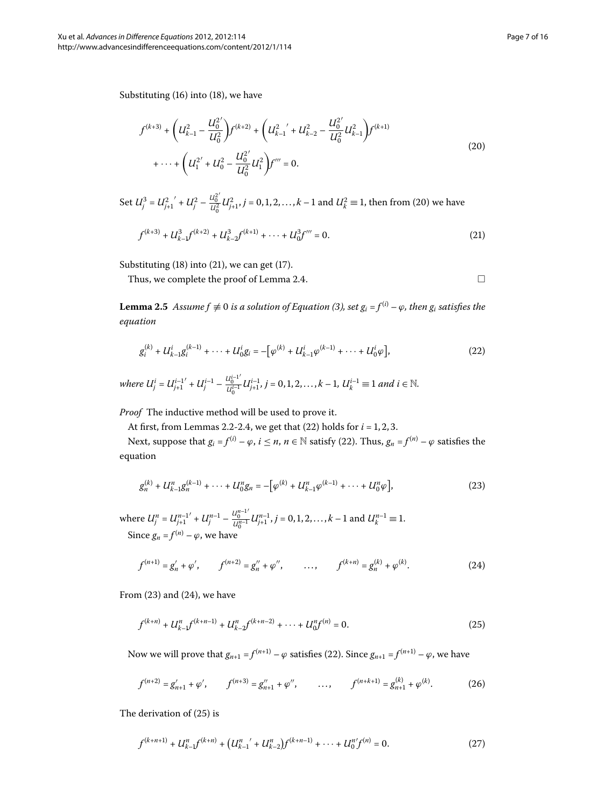Substituting  $(16)$  $(16)$  into  $(18)$ , we have

$$
f^{(k+3)} + \left( U_{k-1}^2 - \frac{U_0^2}{U_0^2} \right) f^{(k+2)} + \left( U_{k-1}^2 + U_{k-2}^2 - \frac{U_0^2}{U_0^2} U_{k-1}^2 \right) f^{(k+1)} + \dots + \left( U_1^{2'} + U_0^2 - \frac{U_0^2}{U_0^2} U_1^2 \right) f''' = 0.
$$
\n
$$
(20)
$$

<span id="page-6-8"></span>Set  $U_j^3 = U_{j+1}^2 + U_j^2 - \frac{U_0^2}{U_0^2}$  $\frac{u_0^2}{u_0^2}$  *U*<sub> $\hat{i}_{+1}$ , *j* = 0, 1, 2, . . . , *k* – 1 and *U*<sup>2</sup><sub>*k*</sub> ≡ 1, then from (20) we have</sub>

$$
f^{(k+3)} + U_{k-1}^3 f^{(k+2)} + U_{k-2}^3 f^{(k+1)} + \dots + U_0^3 f''' = 0.
$$
 (21)

Substituting  $(18)$  $(18)$  into  $(21)$ , we can get  $(17)$ .

Thus, we complete the proof of Lemma 2[.](#page-5-7)4.

<span id="page-6-5"></span><span id="page-6-4"></span><span id="page-6-3"></span><span id="page-6-2"></span><span id="page-6-1"></span><span id="page-6-0"></span> $\Box$ 

**Lemma 2.5** Assume  $f \neq 0$  is a solution of Equation [\(](#page-2-3)3), set  $g_i = f^{(i)} - \varphi$ , then  $g_i$  satisfies the *equation*

$$
g_i^{(k)} + U_{k-1}^i g_i^{(k-1)} + \dots + U_0^i g_i = -\big[\varphi^{(k)} + U_{k-1}^i \varphi^{(k-1)} + \dots + U_0^i \varphi\big],\tag{22}
$$

*where*  $U_j^i = U_{j+1}^{i-1'} + U_j^{i-1} - \frac{U_0^{i-1'}}{U_0^{i-1}}$  $U_0^{i-1} U_{j+1}^{i-1}, j = 0, 1, 2, ..., k-1, U_k^{i-1} \equiv 1$  and  $i \in \mathbb{N}$ .

*Proof* The inductive method will be used to prove it.

At first, from Lemmas 2[.](#page-5-7)2-2.4, we get that  $(22)$  $(22)$  holds for  $i = 1, 2, 3$ .

Next, suppose that  $g_i = f^{(i)} - \varphi$  $g_i = f^{(i)} - \varphi$  $g_i = f^{(i)} - \varphi$ ,  $i \le n$ ,  $n \in \mathbb{N}$  satisfy (22). Thus,  $g_n = f^{(n)} - \varphi$  satisfies the equation

$$
g_n^{(k)} + U_{k-1}^n g_n^{(k-1)} + \dots + U_0^n g_n = -\big[\varphi^{(k)} + U_{k-1}^n \varphi^{(k-1)} + \dots + U_0^n \varphi\big],\tag{23}
$$

where  $U_j^n = U_{j+1}^{n-1'} + U_j^{n-1} - \frac{U_0^{n-1'}}{U_0^{n-1}}$  $\frac{u_0^{n}}{u_0^{n-1}} U_{j+1}^{n-1}, j = 0, 1, 2, ..., k-1$  and  $U_k^{n-1} \equiv 1$ . Since  $g_n = f^{(n)} - \varphi$ , we have

$$
f^{(n+1)} = g'_n + \varphi', \qquad f^{(n+2)} = g''_n + \varphi'', \qquad \dots, \qquad f^{(k+n)} = g^{(k)}_n + \varphi^{(k)}.
$$
 (24)

From  $(23)$  $(23)$  and  $(24)$ , we have

<span id="page-6-7"></span>
$$
f^{(k+n)} + U_{k-1}^n f^{(k+n-1)} + U_{k-2}^n f^{(k+n-2)} + \dots + U_0^n f^{(n)} = 0.
$$
 (25)

Now we will prove that  $g_{n+1} = f^{(n+1)} - \varphi$  $g_{n+1} = f^{(n+1)} - \varphi$  $g_{n+1} = f^{(n+1)} - \varphi$  satisfies (22). Since  $g_{n+1} = f^{(n+1)} - \varphi$ , we have

<span id="page-6-6"></span>
$$
f^{(n+2)} = g'_{n+1} + \varphi', \qquad f^{(n+3)} = g''_{n+1} + \varphi'', \qquad \dots, \qquad f^{(n+k+1)} = g^{(k)}_{n+1} + \varphi^{(k)}.
$$
 (26)

The derivation of  $(25)$  is

$$
f^{(k+n+1)} + U_{k-1}^n f^{(k+n)} + (U_{k-1}^n' + U_{k-2}^n) f^{(k+n-1)} + \dots + U_0^n f^{(n)} = 0.
$$
 (27)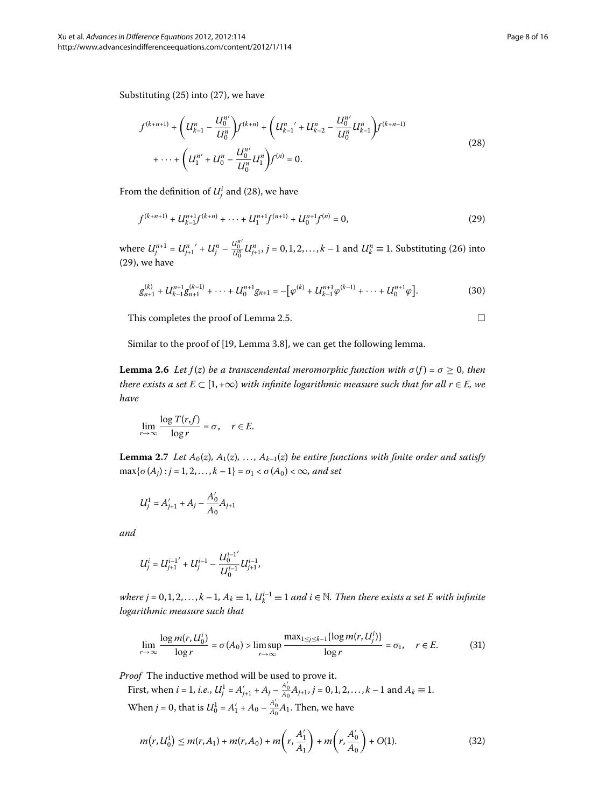Substituting  $(25)$  $(25)$  into  $(27)$ , we have

$$
f^{(k+n+1)} + \left( U_{k-1}^n - \frac{U_0^{n'}}{U_0^n} \right) f^{(k+n)} + \left( U_{k-1}^n' + U_{k-2}^n - \frac{U_0^{n'}}{U_0^n} U_{k-1}^n \right) f^{(k+n-1)} + \dots + \left( U_1^{n'} + U_0^n - \frac{U_0^{n'}}{U_0^n} U_1^n \right) f^{(n)} = 0.
$$
\n(28)

From the definition of  $U^i_j$  and (28), we have

$$
f^{(k+n+1)} + U_{k-1}^{n+1} f^{(k+n)} + \dots + U_1^{n+1} f^{(n+1)} + U_0^{n+1} f^{(n)} = 0,
$$
\n(29)

<span id="page-7-3"></span>where  $U_j^{n+1} = U_{j+1}^{n'} + U_j^n - \frac{U_0^{n'}}{U_0^n}$  $\frac{u_0^n}{u_0^n} U_{j+1}^n$ ,  $j = 0, 1, 2, ..., k - 1$  and  $U_k^n \equiv 1$ . Substituting (26[\)](#page-6-7) into  $(29)$  $(29)$ , we have

$$
g_{n+1}^{(k)} + U_{k-1}^{n+1}g_{n+1}^{(k-1)} + \cdots + U_0^{n+1}g_{n+1} = -\left[\varphi^{(k)} + U_{k-1}^{n+1}\varphi^{(k-1)} + \cdots + U_0^{n+1}\varphi\right].
$$
 (30)

This completes the proof of Lemma 2[.](#page-6-8)5.  $\Box$ 

<span id="page-7-4"></span><span id="page-7-1"></span><span id="page-7-0"></span>

Similar to the proof of [\[](#page-15-19)19, Lemma 3.8], we can get the following lemma.

<span id="page-7-5"></span>**Lemma 2.6** Let  $f(z)$  be a transcendental meromorphic function with  $\sigma(f) = \sigma \geq 0$ , then *there exists a set*  $E \subset [1, +\infty)$  *with infinite logarithmic measure such that for all r*  $\in E$ *, we have*

$$
\lim_{r \to \infty} \frac{\log T(r, f)}{\log r} = \sigma, \quad r \in E.
$$

**Lemma 2.7** Let  $A_0(z)$ ,  $A_1(z)$ , ...,  $A_{k-1}(z)$  be entire functions with finite order and satisfy  $\max{\{\sigma(A_i): i = 1, 2, ..., k - 1\}} = \sigma_1 < \sigma(A_0) < \infty$ , and set

$$
U_j^1 = A'_{j+1} + A_j - \frac{A'_0}{A_0}A_{j+1}
$$

*and*

$$
U_j^i = U_{j+1}^{i-1'} + U_j^{i-1} - \frac{U_0^{i-1'}}{U_0^{i-1}} U_{j+1}^{i-1},
$$

*where j* = 0,1,2,..., $k - 1$ ,  $A_k \equiv 1$ ,  $U_k^{i-1} \equiv 1$  and  $i \in \mathbb{N}$ . Then there exists a set E with infinite *logarithmic measure such that*

<span id="page-7-2"></span>
$$
\lim_{r \to \infty} \frac{\log m(r, U_0^i)}{\log r} = \sigma(A_0) > \limsup_{r \to \infty} \frac{\max_{1 \le j \le k-1} \{ \log m(r, U_j^i) \}}{\log r} = \sigma_1, \quad r \in E. \tag{31}
$$

*Proof* The inductive method will be used to prove it.

First, when  $i = 1$ , *i.e.*,  $U_j^1 = A'_{j+1} + A_j - \frac{A'_0}{A_0}A_{j+1}$ ,  $j = 0, 1, 2, ..., k-1$  and  $A_k \equiv 1$ . When *j* = 0, that is  $U_0^1 = A'_1 + A_0 - \frac{A'_0}{A_0}A_1$ . Then, we have

$$
m(r, U_0^1) \le m(r, A_1) + m(r, A_0) + m\left(r, \frac{A_1'}{A_1}\right) + m\left(r, \frac{A_0'}{A_0}\right) + O(1). \tag{32}
$$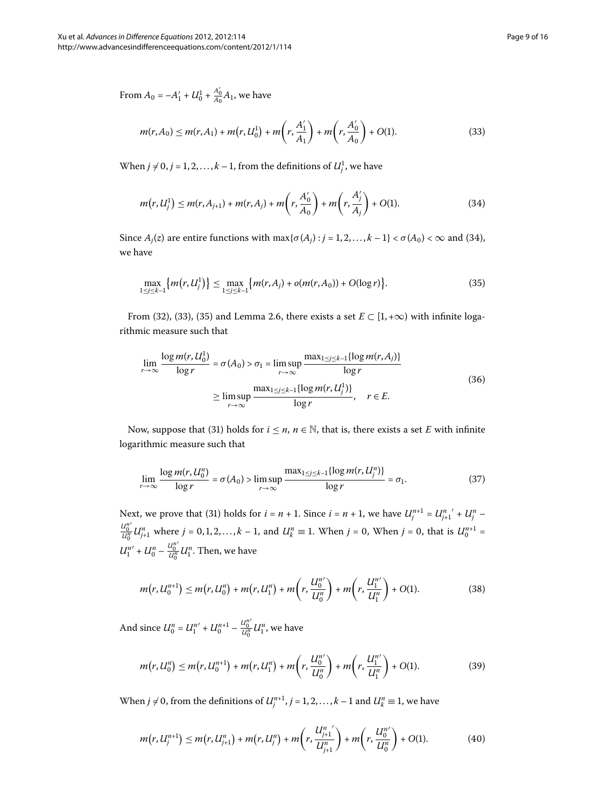<span id="page-8-1"></span><span id="page-8-0"></span>
$$
m(r, A_0) \le m(r, A_1) + m(r, U_0^1) + m\left(r, \frac{A'_1}{A_1}\right) + m\left(r, \frac{A'_0}{A_0}\right) + O(1). \tag{33}
$$

When  $j \neq 0$ ,  $j = 1, 2, ..., k - 1$ , from the definitions of  $U_j^1$ , we have

<span id="page-8-2"></span>
$$
m(r, U_j^1) \le m(r, A_{j+1}) + m(r, A_j) + m\left(r, \frac{A'_0}{A_0}\right) + m\left(r, \frac{A'_j}{A_j}\right) + O(1). \tag{34}
$$

Since  $A_j(z)$  are entire functions with  $\max{\{\sigma(A_j) : j = 1, 2, ..., k - 1\}} < \sigma(A_0) < \infty$  and (34), we have

$$
\max_{1 \le j \le k-1} \{ m(r, U_j^1) \} \le \max_{1 \le j \le k-1} \{ m(r, A_j) + o(m(r, A_0)) + O(\log r) \}.
$$
 (35)

From (32[\)](#page-8-1), [\(](#page-8-2)33), (35) and Lemma 2[.](#page-7-3)6, there exists a set  $E \subset [1, +\infty)$  with infinite logarithmic measure such that

<span id="page-8-3"></span>
$$
\lim_{r \to \infty} \frac{\log m(r, U_0^1)}{\log r} = \sigma(A_0) > \sigma_1 = \limsup_{r \to \infty} \frac{\max_{1 \le j \le k-1} \{ \log m(r, A_j) \}}{\log r}
$$
\n
$$
\ge \limsup_{r \to \infty} \frac{\max_{1 \le j \le k-1} \{ \log m(r, U_j^1) \}}{\log r}, \quad r \in E.
$$
\n(36)

Now, suppose that (31[\)](#page-7-4) holds for  $i \le n$ ,  $n \in \mathbb{N}$ , that is, there exists a set *E* with infinite logarithmic measure such that

$$
\lim_{r \to \infty} \frac{\log m(r, U_0^n)}{\log r} = \sigma(A_0) > \limsup_{r \to \infty} \frac{\max_{1 \le j \le k-1} \{ \log m(r, U_j^n) \}}{\log r} = \sigma_1.
$$
\n(37)

Next, we prove that (31) holds for  $i = n + 1$ . Since  $i = n + 1$ , we have  $U_j^{n+1} = U_{j+1}^{n} + U_j^n$ *U<sup>n</sup>*  $U_{U_0^n}^{\alpha} U_{j+1}^n$  where  $j = 0, 1, 2, ..., k - 1$ , and  $U_k^n \equiv 1$ . When  $j = 0$ , When  $j = 0$ , that is  $U_0^{n+1} =$  $U_1^{n'} + U_0^n - \frac{U_0^{n'}}{U_0^n}$  $\frac{u_0^n}{u_0^n}$  *U*<sup>*n*</sup>. Then, we have

$$
m(r, U_0^{n+1}) \le m(r, U_0^n) + m(r, U_1^n) + m\left(r, \frac{U_0^{n'}}{U_0^n}\right) + m\left(r, \frac{U_1^{n'}}{U_1^n}\right) + O(1). \tag{38}
$$

And since  $U_0^n = U_1^{n'} + U_0^{n+1} - \frac{U_0^{n'}}{U_0^n}$  $\frac{U_0^n}{U_0^n}$ *U*<sup>*n*</sup>, we have

<span id="page-8-4"></span>
$$
m(r, U_0^n) \le m(r, U_0^{n+1}) + m(r, U_1^n) + m\left(r, \frac{U_0^n}{U_0^n}\right) + m\left(r, \frac{U_1^{n'}}{U_1^n}\right) + O(1). \tag{39}
$$

When  $j \neq 0$ , from the definitions of  $U_j^{n+1}$ ,  $j = 1, 2, ..., k-1$  and  $U_k^n \equiv 1$ , we have

$$
m(r, U_j^{n+1}) \le m(r, U_{j+1}^n) + m(r, U_j^n) + m\left(r, \frac{U_{j+1}^n}{U_{j+1}^n}\right) + m\left(r, \frac{U_0^n}{U_0^n}\right) + O(1). \tag{40}
$$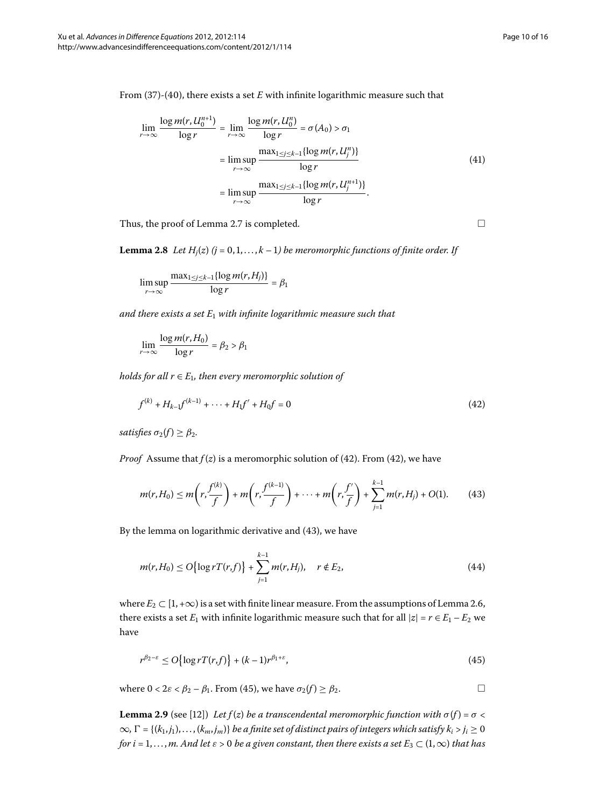From  $(37)-(40)$  $(37)-(40)$  $(37)-(40)$ , there exists a set *E* with infinite logarithmic measure such that

<span id="page-9-4"></span>
$$
\lim_{r \to \infty} \frac{\log m(r, U_0^{n+1})}{\log r} = \lim_{r \to \infty} \frac{\log m(r, U_0^n)}{\log r} = \sigma(A_0) > \sigma_1
$$

$$
= \lim_{r \to \infty} \frac{\max_{1 \le j \le k-1} {\log m(r, U_j^n)} }{\log r}
$$

$$
= \lim_{r \to \infty} \frac{\max_{1 \le j \le k-1} {\log m(r, U_j^{n+1})}}{\log r}.
$$
(41)

Thus, the proof of Lemma 2[.](#page-7-5)7 is completed.  $\Box$ 

**Lemma 2.8** Let  $H_i(z)$  ( $j = 0, 1, ..., k - 1$ ) be meromorphic functions of finite order. If

$$
\limsup_{r \to \infty} \frac{\max_{1 \le j \le k-1} \{ \log m(r, H_j) \}}{\log r} = \beta_1
$$

*and there exists a set*  $E_1$  *with infinite logarithmic measure such that* 

<span id="page-9-0"></span>
$$
\lim_{r \to \infty} \frac{\log m(r, H_0)}{\log r} = \beta_2 > \beta_1
$$

*holds for all*  $r \in E_1$ , then every meromorphic solution of

<span id="page-9-1"></span>
$$
f^{(k)} + H_{k-1}f^{(k-1)} + \dots + H_1f' + H_0f = 0
$$
\n(42)

*satisfies*  $\sigma_2(f) \geq \beta_2$ .

*Proof* Assume that  $f(z)$  is a meromorphic solution of (42). From (42), we have

$$
m(r, H_0) \le m\left(r, \frac{f^{(k)}}{f}\right) + m\left(r, \frac{f^{(k-1)}}{f}\right) + \dots + m\left(r, \frac{f'}{f}\right) + \sum_{j=1}^{k-1} m(r, H_j) + O(1). \tag{43}
$$

By the lemma on logarithmic derivative and  $(43)$ , we have

<span id="page-9-2"></span>
$$
m(r, H_0) \le O\left\{\log rT(r, f)\right\} + \sum_{j=1}^{k-1} m(r, H_j), \quad r \notin E_2,
$$
\n(44)

<span id="page-9-3"></span>where  $E_2 \subset [1, +\infty)$  is a set with finite linear measure[.](#page-7-3) From the assumptions of Lemma 2.6, there exists a set  $E_1$  with infinite logarithmic measure such that for all  $|z| = r \in E_1 - E_2$  we have

$$
r^{\beta_2 - \varepsilon} \le O\{\log r T(r, f)\} + (k - 1)r^{\beta_1 + \varepsilon},\tag{45}
$$

where  $0 < 2\varepsilon < \beta_2 - \beta_1$ . From (45), we have  $\sigma_2(f) \geq \beta_2$ .  $\Box$ 

**Lemma 2.9** (see [12]) *Let f*(*z*) *be a transcendental meromorphic function with*  $\sigma(f) = \sigma$  <  $\infty$ ,  $\Gamma$  = {( $k_1, j_1$ ),..., ( $k_m, j_m$ )} *be a finite set of distinct pairs of integers which satisfy*  $k_i > j_i ≥ 0$ *for i* = 1,..., *m.* And let  $\varepsilon > 0$  be a given constant, then there exists a set  $E_3 \subset (1, \infty)$  that has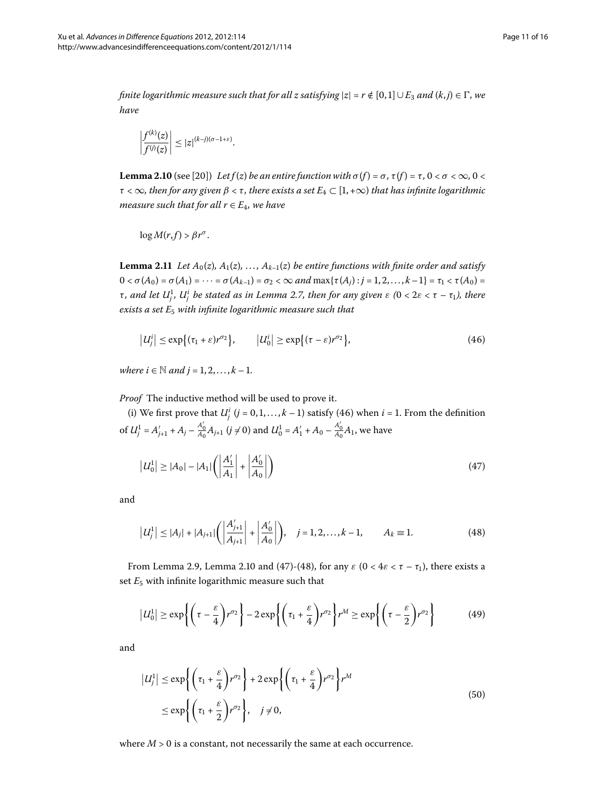<span id="page-10-1"></span>*finite logarithmic measure such that for all z satisfying*  $|z| = r \notin [0,1] \cup E_3$  and  $(k, j) \in \Gamma$ , we *have*

$$
\left|\frac{f^{(k)}(z)}{f^{(j)}(z)}\right| \leq |z|^{(k-j)(\sigma-1+\varepsilon)}.
$$

<span id="page-10-5"></span>**Lemma 2.10** (see [20]) *Let f* (*z*) *be an entire function with*  $\sigma$  (*f*) =  $\sigma$ ,  $\tau$  (*f*) =  $\tau$ ,  $0 < \sigma < \infty$ ,  $0 <$  $\tau < \infty$ *, then for any given*  $\beta < \tau$ *, there exists a set*  $E_4 \subset [1, +\infty)$  *that has infinite logarithmic measure such that for all*  $r \in E_4$ *, we have* 

<span id="page-10-0"></span>
$$
\log M(r, f) > \beta r^{\sigma}.
$$

**Lemma 2.11** Let  $A_0(z)$ ,  $A_1(z)$ , ...,  $A_{k-1}(z)$  be entire functions with finite order and satisfy  $0 < \sigma(A_0) = \sigma(A_1) = \cdots = \sigma(A_{k-1}) = \sigma_2 < \infty$  and  $\max{\{\tau(A_i): i = 1, 2, ..., k-1\}} = \tau_1 < \tau(A_0) = \tau(A_1)$ *τ***, and let U<sub>j</sub>, U<sub>j</sub><sup>'</sup> be stated as in Lemma 2.7, then for any given ε (0 < 2ε < τ – τ<sub>1</sub>), there** exists a set  $E_5$  with infinite logarithmic measure such that

<span id="page-10-2"></span>
$$
\left|U_j^i\right| \le \exp\left\{(\tau_1 + \varepsilon)r^{\sigma_2}\right\}, \qquad \left|U_0^i\right| \ge \exp\left\{(\tau - \varepsilon)r^{\sigma_2}\right\},\tag{46}
$$

*where*  $i \in \mathbb{N}$  *and*  $j = 1, 2, ..., k - 1$ .

*Proof* The inductive method will be used to prove it.

(i[\)](#page-10-0) We first prove that  $U_j^i$  ( $j = 0, 1, ..., k - 1$ ) satisfy (46) when  $i = 1$ . From the definition of  $U_j^1 = A'_{j+1} + A_j - \frac{A'_0}{A_0}A_{j+1}$  ( $j \neq 0$ ) and  $U_0^1 = A'_1 + A_0 - \frac{A'_0}{A_0}A_1$ , we have

<span id="page-10-3"></span>
$$
|U_0^1| \ge |A_0| - |A_1| \left( \left| \frac{A_1'}{A_1} \right| + \left| \frac{A_0'}{A_0} \right| \right)
$$
\n(47)

and

<span id="page-10-4"></span>
$$
\left| U_j^1 \right| \le |A_j| + |A_{j+1}| \left( \left| \frac{A'_{j+1}}{A_{j+1}} \right| + \left| \frac{A'_0}{A_0} \right| \right), \quad j = 1, 2, \dots, k-1, \qquad A_k \equiv 1. \tag{48}
$$

From Lemma 2[.](#page-10-1)9, Lemma 2.10 and (47)-(48), for any  $\varepsilon$  (0 < 4 $\varepsilon$  <  $\tau$  –  $\tau$ <sub>1</sub>), there exists a set  $E_5$  with infinite logarithmic measure such that

$$
\left|U_0^1\right| \geq \exp\left\{\left(\tau - \frac{\varepsilon}{4}\right)r^{\sigma_2}\right\} - 2\exp\left\{\left(\tau_1 + \frac{\varepsilon}{4}\right)r^{\sigma_2}\right\}r^M \geq \exp\left\{\left(\tau - \frac{\varepsilon}{2}\right)r^{\sigma_2}\right\} \tag{49}
$$

and

$$
\begin{aligned} \left| U_j^1 \right| &\leq \exp\left\{ \left( \tau_1 + \frac{\varepsilon}{4} \right) r^{\sigma_2} \right\} + 2 \exp\left\{ \left( \tau_1 + \frac{\varepsilon}{4} \right) r^{\sigma_2} \right\} r^M \\ &\leq \exp\left\{ \left( \tau_1 + \frac{\varepsilon}{2} \right) r^{\sigma_2} \right\}, \quad j \neq 0, \end{aligned} \tag{50}
$$

where  $M > 0$  is a constant, not necessarily the same at each occurrence.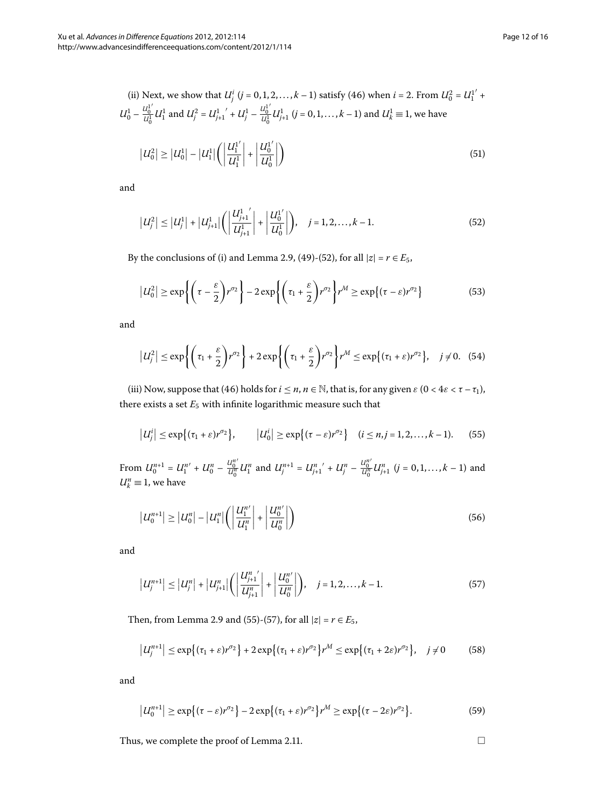(ii) Next, we show that 
$$
U_j^i
$$
  $(j = 0, 1, 2, ..., k - 1)$  satisfy (46) when  $i = 2$ . From  $U_0^2 = U_1^{1'} + U_0^1 - \frac{U_0^1}{U_0^1} U_1^1$  and  $U_j^2 = U_{j+1}^1' + U_j^1 - \frac{U_0^1}{U_0^1} U_{j+1}^1$   $(j = 0, 1, ..., k - 1)$  and  $U_k^1 \equiv 1$ , we have  
\n
$$
|U_0^2| \ge |U_0^1| - |U_1^1| \left( \left| \frac{U_1^1}{U_1^1} \right| + \left| \frac{U_0^1}{U_0^1} \right| \right)
$$
\n(51)

and

<span id="page-11-0"></span>
$$
\left|U_j^2\right| \leq \left|U_j^1\right| + \left|U_{j+1}^1\right| \left(\left|\frac{U_{j+1}^{1'}}{U_{j+1}^1}\right| + \left|\frac{U_0^{1'}}{U_0^1}\right|\right), \quad j = 1, 2, ..., k-1.
$$
\n(52)

By the conclusions of (i) and Lemma 2[.](#page-9-3)9, [\(](#page-11-0)49)-(52), for all  $|z| = r \in E_5$ ,

$$
\left|U_0^2\right| \ge \exp\left\{\left(\tau - \frac{\varepsilon}{2}\right)r^{\sigma_2}\right\} - 2\exp\left\{\left(\tau_1 + \frac{\varepsilon}{2}\right)r^{\sigma_2}\right\}r^M \ge \exp\left\{\left(\tau - \varepsilon\right)r^{\sigma_2}\right\} \tag{53}
$$

and

<span id="page-11-1"></span>
$$
\left|U_j^2\right| \leq \exp\left\{\left(\tau_1 + \frac{\varepsilon}{2}\right)r^{\sigma_2}\right\} + 2\exp\left\{\left(\tau_1 + \frac{\varepsilon}{2}\right)r^{\sigma_2}\right\}r^M \leq \exp\left\{\left(\tau_1 + \varepsilon\right)r^{\sigma_2}\right\}, \quad j \neq 0. \quad (54)
$$

(iii[\)](#page-10-0) Now, suppose that (46) holds for  $i \le n$ ,  $n \in \mathbb{N}$ , that is, for any given  $\varepsilon$  ( $0 < 4\varepsilon < \tau - \tau_1$ ), there exists a set  $E_5$  with infinite logarithmic measure such that

$$
\left|U_j^i\right| \leq \exp\left\{(\tau_1 + \varepsilon)r^{\sigma_2}\right\}, \qquad \left|U_0^i\right| \geq \exp\left\{(\tau - \varepsilon)r^{\sigma_2}\right\} \quad (i \leq n, j = 1, 2, \dots, k-1). \tag{55}
$$

From  $U_0^{n+1} = U_1^{n'} + U_0^n - \frac{U_0^{n'}}{U_0^n}$  $\frac{U_0^{n'}}{U_0^n} U_1^n$  and  $U_j^{n+1} = U_{j+1}^n' + U_j^n - \frac{U_0^{n'}}{U_0^n}$  $\frac{u_0^n}{u_0^n} U_{j+1}^n$   $(j = 0, 1, ..., k-1)$  and  $U_k^n \equiv 1$ , we have

$$
|U_0^{n+1}| \ge |U_0^n| - |U_1^n| \left( \left| \frac{U_1^{n'}}{U_1^n} \right| + \left| \frac{U_0^{n'}}{U_0^n} \right| \right) \tag{56}
$$

and

$$
\left|U_j^{n+1}\right| \leq \left|U_j^n\right| + \left|U_{j+1}^n\right| \left(\left|\frac{U_{j+1}^{n'}}{U_{j+1}^n}\right| + \left|\frac{U_0^{n'}}{U_0^n}\right|\right), \quad j = 1, 2, \dots, k-1. \tag{57}
$$

Then, from Lemma 2[.](#page-9-3)9 and [\(](#page-11-2)55)-(57), for all  $|z| = r \in E_5$ ,

$$
\left|U_j^{n+1}\right| \leq \exp\left\{(\tau_1+\varepsilon)r^{\sigma_2}\right\} + 2\exp\left\{(\tau_1+\varepsilon)r^{\sigma_2}\right\}r^M \leq \exp\left\{(\tau_1+2\varepsilon)r^{\sigma_2}\right\}, \quad j \neq 0 \tag{58}
$$

and

$$
\left|U_0^{n+1}\right| \geq \exp\left\{(\tau-\varepsilon)r^{\sigma_2}\right\} - 2\exp\left\{(\tau_1+\varepsilon)r^{\sigma_2}\right\}r^M \geq \exp\left\{(\tau-2\varepsilon)r^{\sigma_2}\right\}.
$$
 (59)

Thus, we complete the proof of Lemma 2[.](#page-10-5)11.  $\Box$ 

<span id="page-11-2"></span>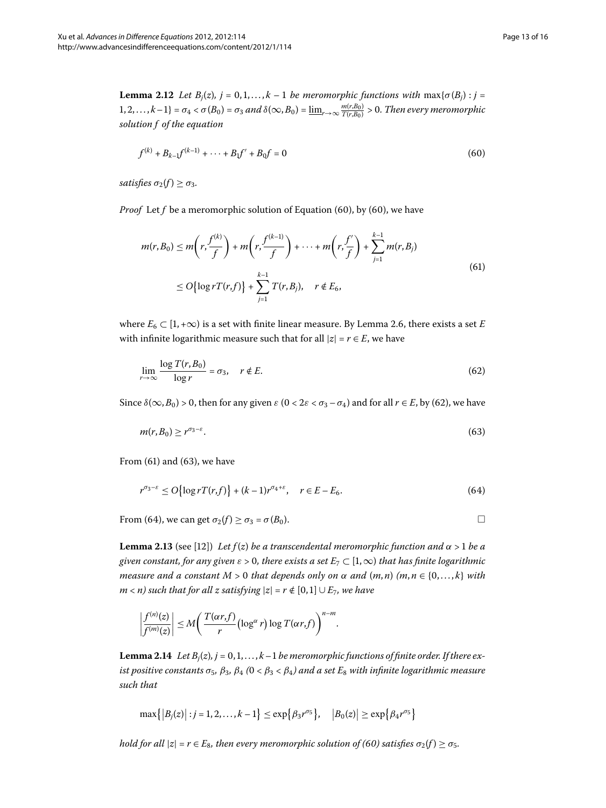**Lemma 2.12** Let  $B_j(z)$ ,  $j = 0, 1, \ldots, k - 1$  be meromorphic functions with  $\max{\{\sigma(B_j) : j = 1\}}$  $\{1, 2, \ldots, k-1\} = \sigma_4 < \sigma(B_0) = \sigma_3$  and  $\delta(\infty, B_0) = \underline{\lim}_{r \to \infty} \frac{m(r, B_0)}{T(r, B_0)} > 0$ . Then every meromorphic *solution f of the equation*

<span id="page-12-2"></span><span id="page-12-0"></span>
$$
f^{(k)} + B_{k-1}f^{(k-1)} + \dots + B_1f' + B_0f = 0
$$
\n(60)

*satisfies*  $\sigma_2(f) \geq \sigma_3$ .

*Proof* Let *f* be a meromorphic solution of Equation (60[\)](#page-12-0), by (60), we have

<span id="page-12-1"></span>
$$
m(r, B_0) \le m\left(r, \frac{f^{(k)}}{f}\right) + m\left(r, \frac{f^{(k-1)}}{f}\right) + \dots + m\left(r, \frac{f'}{f}\right) + \sum_{j=1}^{k-1} m(r, B_j)
$$
  
\n
$$
\le O\left\{\log rT(r, f)\right\} + \sum_{j=1}^{k-1} T(r, B_j), \quad r \notin E_6,
$$
\n(61)

where  $E_6 \subset [1, +\infty)$  is a set with finite linear measure. By Lemma 2.6, there exists a set *E* with infinite logarithmic measure such that for all  $|z| = r \in E$ , we have

<span id="page-12-4"></span><span id="page-12-3"></span>
$$
\lim_{r \to \infty} \frac{\log T(r, B_0)}{\log r} = \sigma_3, \quad r \notin E. \tag{62}
$$

Since  $\delta(\infty, B_0) > 0$  $\delta(\infty, B_0) > 0$  $\delta(\infty, B_0) > 0$ , then for any given  $\varepsilon$  (0 < 2 $\varepsilon$  <  $\sigma_3 - \sigma_4$ ) and for all  $r \in E$ , by (62), we have

<span id="page-12-5"></span>
$$
m(r, B_0) \ge r^{\sigma_3 - \varepsilon}.\tag{63}
$$

From  $(61)$  $(61)$  and  $(63)$ , we have

$$
r^{\sigma_3 - \varepsilon} \le O\{\log r T(r, f)\} + (k - 1)r^{\sigma_4 + \varepsilon}, \quad r \in E - E_6. \tag{64}
$$

From (64), we can get  $\sigma_2(f) \ge \sigma_3 = \sigma(B_0)$ .

<span id="page-12-6"></span>**Lemma 2.13** (see [12[\]](#page-15-20)) *Let f(z) be a transcendental meromorphic function and*  $\alpha$  > 1 *be a given constant, for any given*  $\varepsilon > 0$ , there exists a set  $E_7 \subset [1,\infty)$  that has finite logarithmic *measure and a constant*  $M > 0$  *that depends only on*  $\alpha$  *and*  $(m, n)$   $(m, n \in \{0, \ldots, k\}$  *with*  $m$  < *n*) such that for all z satisfying  $|z| = r \notin [0, 1] \cup E_7$ , we have

$$
\left|\frac{f^{(n)}(z)}{f^{(m)}(z)}\right| \leq M \left(\frac{T(\alpha r,f)}{r} \left(\log^{\alpha} r\right) \log T(\alpha r,f)\right)^{n-m}.
$$

**Lemma 2.14** Let  $B_i(z)$ ,  $j = 0, 1, ..., k-1$  be meromorphic functions of finite order. If there ex*ist positive constants*  $\sigma_5$ ,  $\beta_3$ ,  $\beta_4$  ( $0 < \beta_3 < \beta_4$ ) and a set  $E_8$  with infinite logarithmic measure *such that*

$$
\max\{|B_j(z)|: j=1,2,\ldots,k-1\} \leq \exp\{\beta_3 r^{\sigma_5}\}, \quad |B_0(z)| \geq \exp\{\beta_4 r^{\sigma_5}\}\
$$

*hold for all*  $|z| = r \in E_8$ *, then every meromorphic solution of [\(](#page-12-0)60) satisfies*  $\sigma_2(f) \ge \sigma_5$ *.*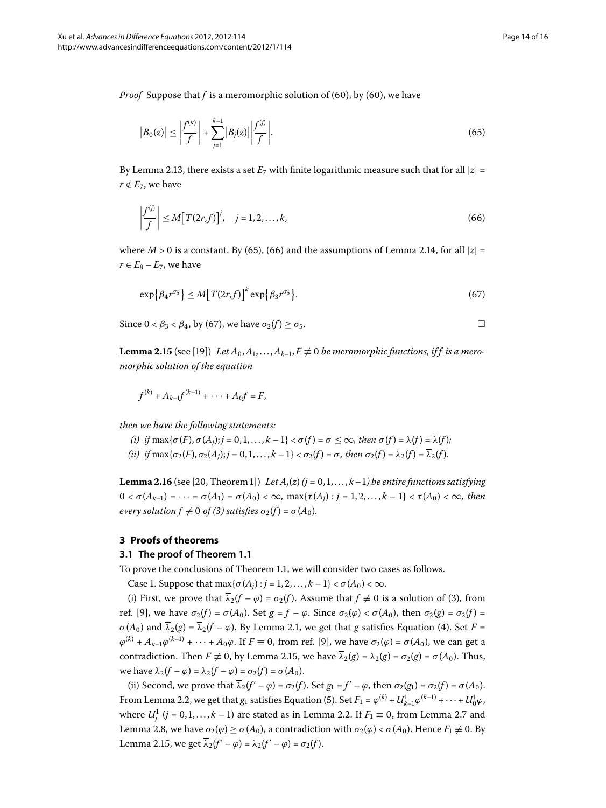*Proof* Suppose that *f* is a meromorphic solution of (60[\)](#page-12-0), by (60), we have

<span id="page-13-1"></span><span id="page-13-0"></span>
$$
|B_0(z)| \le \left| \frac{f^{(k)}}{f} \right| + \sum_{j=1}^{k-1} |B_j(z)| \left| \frac{f^{(j)}}{f} \right|.
$$
 (65)

By Lemma 2.13, there exists a set  $E_7$  with finite logarithmic measure such that for all  $|z|$  =  $r \notin E_7$ , we have

<span id="page-13-2"></span>
$$
\left|\frac{f^{(j)}}{f}\right| \le M\big[T(2r,f)\big]^j, \quad j=1,2,\ldots,k,\tag{66}
$$

<span id="page-13-3"></span>where  $M > 0$  is a constant[.](#page-12-6) By (65), (66) and the assumptions of Lemma 2.14, for all  $|z| =$  $r \in E_8 - E_7$ , we have

$$
\exp\{\beta_4 r^{\sigma_5}\} \le M\big[T(2r,f)\big]^k \exp\{\beta_3 r^{\sigma_5}\}.\tag{67}
$$

Since  $0 < \beta_3 < \beta_4$ , by (67), we have  $\sigma_2(f) \ge \sigma_5$ .

**Lemma 2.15** (see [\[](#page-15-19)19]) *Let*  $A_0, A_1, \ldots, A_{k-1}, F \neq 0$  *be meromorphic functions, if f is a meromorphic solution of the equation*

<span id="page-13-4"></span>
$$
f^{(k)} + A_{k-1}f^{(k-1)} + \cdots + A_0f = F,
$$

*then we have the following statements:*

- $(i)$  *if*  $\max{\{\sigma(F), \sigma(A_i)\}}$ ;  $j = 0, 1, ..., k 1\} < \sigma(f) = \sigma \leq \infty$ , then  $\sigma(f) = \lambda(f) = \overline{\lambda}(f)$ ;
- *(ii) if*  $\max{\{\sigma_2(F), \sigma_2(A_i); j = 0, 1, ..., k 1\}} < \sigma_2(f) = \sigma$ , then  $\sigma_2(f) = \lambda_2(f) = \overline{\lambda}_2(f)$ .

**Lemma 2.16** (see [20, Theorem 1]) Let  $A_i(z)$  ( $j = 0, 1, ..., k-1$ ) be entire functions satisfying  $0 < \sigma(A_{k-1}) = \cdots = \sigma(A_1) = \sigma(A_0) < \infty$ ,  $\max{\{\tau(A_i) : j = 1, 2, ..., k - 1\}} < \tau(A_0) < \infty$ , then *every solution*  $f \not\equiv 0$  *of* [\(](#page-2-3)3) *satisfies*  $\sigma_2(f) = \sigma(A_0)$ *.* 

# **3 Proofs of theorems**

### **3.1 The proof of Theorem [1.1](#page-2-4)**

To prove the conclusions of Theorem 1[.](#page-2-4)1, we will consider two cases as follows.

Case 1. Suppose that  $\max{\{\sigma(A_i): i = 1, 2, ..., k - 1\}} < \sigma(A_0) < \infty$ .

(i[\)](#page-2-3) First, we prove that  $\overline{\lambda}_2(f - \varphi) = \sigma_2(f)$ . Assume that  $f \neq 0$  is a solution of (3), from ref. [9], we have  $\sigma_2(f) = \sigma(A_0)$ . Set  $g = f - \varphi$ . Since  $\sigma_2(\varphi) < \sigma(A_0)$ , then  $\sigma_2(g) = \sigma_2(f)$  $\sigma(A_0)$  and  $\overline{\lambda}_2(g) = \overline{\lambda}_2(f - \varphi)$ [.](#page-3-4) By Lemma 2.1, we get that *g* satisfies Equation (4). Set *F* =  $\varphi^{(k)}$  +  $A_{k-1}\varphi^{(k-1)}$  +  $\cdots$  +  $A_0\varphi$ . If  $F \equiv 0$ , from ref. [9[\]](#page-15-22), we have  $\sigma_2(\varphi) = \sigma(A_0)$ , we can get a contradiction. Then  $F \neq 0$ , by Lemma 2.15, we have  $\overline{\lambda}_2(g) = \lambda_2(g) = \sigma_2(g) = \sigma(A_0)$ . Thus, we have  $\overline{\lambda}_2(f - \varphi) = \lambda_2(f - \varphi) = \sigma_2(f) = \sigma(A_0).$ 

(ii) Second, we prove that  $\overline{\lambda}_2(f' - \varphi) = \sigma_2(f)$ . Set  $g_1 = f' - \varphi$ , then  $\sigma_2(g_1) = \sigma_2(f) = \sigma(A_0)$ . From Lemma 2[.](#page-4-6)2, we get that  $g_1$  satisfies Equation [\(](#page-4-5)5). Set  $F_1 = \varphi^{(k)} + U^1_{k-1} \varphi^{(k-1)} + \cdots + U^1_0 \varphi$ , where  $U_j^1$   $(j = 0, 1, ..., k - 1)$  $(j = 0, 1, ..., k - 1)$  $(j = 0, 1, ..., k - 1)$  are stated as in Lemma 2.2. If  $F_1 \equiv 0$ , from Lemma 2.7 and Lemma 2.8, we have  $\sigma_2(\varphi) \ge \sigma(A_0)$ , a contradiction with  $\sigma_2(\varphi) < \sigma(A_0)$ . Hence  $F_1 \ne 0$ . By Lemma 2.15, we get  $\overline{\lambda}_2(f' - \varphi) = \lambda_2(f' - \varphi) = \sigma_2(f)$ .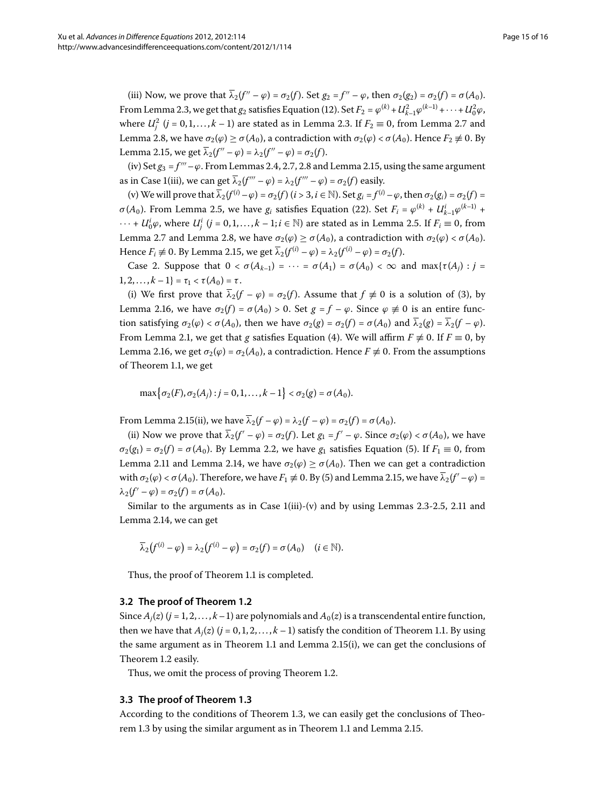(iii) Now, we prove that  $\overline{\lambda}_2(f'' - \varphi) = \sigma_2(f)$ . Set  $g_2 = f'' - \varphi$ , then  $\sigma_2(g_2) = \sigma_2(f) = \sigma(A_0)$ . From Lemma 2.3, we get that  $g_2$  satisfies Equation [\(](#page-5-3)12). Set  $F_2 = \varphi^{(k)} + U_{k-1}^2 \varphi^{(k-1)} + \cdots + U_0^2 \varphi$ , where  $U_j^2$   $(j = 0, 1, \ldots, k - 1)$  are stated as in Lemma 2[.](#page-7-5)3. If  $F_2 \equiv 0$ , from Lemma 2.7 and Lemma 2.8, we have  $\sigma$ <sub>2</sub>(*ϕ*) ≥ *σ*(*A*<sub>0</sub>), a contradiction with *σ*<sub>2</sub>(*ϕ*) < *σ*(*A*<sub>0</sub>). Hence *F*<sub>2</sub>  $\neq$  0. By Lemma 2.15, we get  $\overline{\lambda}_2(f'' - \varphi) = \lambda_2(f'' - \varphi) = \sigma_2(f)$ .

(iv) Set  $g_3 = f''' - \varphi$ [.](#page-13-3) From Lemmas 2.4, 2.7, 2.8 and Lemma 2.15, using the same argument as in Case 1(iii), we can get  $\overline{\lambda}_2(f''' - \varphi) = \lambda_2(f''' - \varphi) = \sigma_2(f)$  easily.

(v) We will prove that  $\overline{\lambda}_2(f^{(i)} - \varphi) = \sigma_2(f)$  ( $i > 3, i \in \mathbb{N}$ ). Set  $g_i = f^{(i)} - \varphi$ , then  $\sigma_2(g_i) = \sigma_2(f)$ *σ*[\(](#page-6-2)*A*<sub>0</sub>). From Lemma 2.5, we have *g<sub>i</sub>* satisfies Equation (22). Set  $F_i = \varphi^{(k)} + U_{k-1}^i \varphi^{(k-1)}$  +  $\cdots$  +  $U^i_0\varphi$ , where  $U^i_j$   $(j = 0, 1, \ldots, k - 1; i \in \mathbb{N})$  are stated as in Lemma 2.5. If  $F_i \equiv 0$ , from Lemma 2[.](#page-7-5)7 and Lemma 2.8, we have  $σ_2(φ) ≥ σ(A_0)$ , a contradiction with  $σ_2(φ) < σ(A_0)$ . Hence  $F_i \neq 0$ [.](#page-13-3) By Lemma 2.15, we get  $\overline{\lambda}_2(f^{(i)} - \varphi) = \lambda_2(f^{(i)} - \varphi) = \sigma_2(f)$ .

Case 2. Suppose that  $0 < \sigma(A_{k-1}) = \cdots = \sigma(A_1) = \sigma(A_0) < \infty$  and  $\max{\{\tau(A_i) : j = \tau(A_i)\}}$  $1, 2, \ldots, k - 1$  =  $\tau_1 < \tau(A_0) = \tau$ .

[\(](#page-2-3)i) We first prove that  $\overline{\lambda}_2(f - \varphi) = \sigma_2(f)$ . Assume that  $f \neq 0$  is a solution of (3), by Lemma 2[.](#page-13-4)16, we have  $\sigma_2(f) = \sigma(A_0) > 0$ . Set  $g = f - \varphi$ . Since  $\varphi \neq 0$  is an entire function satisfying  $\sigma_2(\varphi) < \sigma(A_0)$ , then we have  $\sigma_2(g) = \sigma_2(f) = \sigma(A_0)$  and  $\overline{\lambda}_2(g) = \overline{\lambda}_2(f - \varphi)$ . From Lemma 2[.](#page-3-4)1, we get that *g* satisfies Equation (4[\)](#page-3-3). We will affirm  $F \neq 0$ . If  $F \equiv 0$ , by Lemma 2[.](#page-13-4)16, we get  $\sigma_2(\varphi) = \sigma_2(A_0)$ , a contradiction. Hence  $F \neq 0$ . From the assumptions of Theorem 1.1, we get

 $\max\{\sigma_2(F), \sigma_2(A_j) : j = 0, 1, ..., k-1\} < \sigma_2(g) = \sigma(A_0).$ 

From Lemma 2[.](#page-13-3)15(ii), we have  $\overline{\lambda}_2(f - \varphi) = \lambda_2(f - \varphi) = \sigma_2(f) = \sigma(A_0)$ .

(ii) Now we prove that  $\overline{\lambda}_2(f' - \varphi) = \sigma_2(f)$ . Let  $g_1 = f' - \varphi$ . Since  $\sigma_2(\varphi) < \sigma(A_0)$ , we have  $\sigma_2(g_1) = \sigma_2(f) = \sigma(A_0)$  $\sigma_2(g_1) = \sigma_2(f) = \sigma(A_0)$  $\sigma_2(g_1) = \sigma_2(f) = \sigma(A_0)$ . By Lemma 2.2, we have  $g_1$  satisfies Equation (5). If  $F_1 \equiv 0$ , from Lemma 2[.](#page-12-6)11 and Lemma 2.14, we have  $\sigma_2(\varphi) \ge \sigma(A_0)$ . Then we can get a contradiction with  $\sigma_2(\varphi) < \sigma(A_0)$ [.](#page-13-3) Therefore, we have  $F_1 \not\equiv 0$ . By (5) and Lemma 2.15, we have  $\lambda_2(f' - \varphi) =$  $λ_2(f' - φ) = σ_2(f) = σ(A_0).$ 

Similar to the arguments as in Case  $1(iii)-(v)$  and by using Lemmas 2[.](#page-10-5)3-2.5, 2.11 and Lemma 2[.](#page-12-6)14, we can get

$$
\overline{\lambda}_2(f^{(i)} - \varphi) = \lambda_2(f^{(i)} - \varphi) = \sigma_2(f) = \sigma(A_0) \quad (i \in \mathbb{N}).
$$

Thus, the proof of Theorem 1[.](#page-2-4)1 is completed.

# **3.2 The proof of Theorem [1.2](#page-2-5)**

Since  $A_i(z)$  ( $j = 1, 2, ..., k-1$ ) are polynomials and  $A_0(z)$  is a transcendental entire function, then we have that  $A_i(z)$  ( $j = 0, 1, 2, \ldots, k - 1$ ) satisfy the condition of Theorem 1[.](#page-2-4)1. By using the same argument as in Theorem 1[.](#page-13-3)1 and Lemma 2.15(i), we can get the conclusions of Theorem 1[.](#page-2-5)2 easily.

Thus, we omit the process of proving Theorem 1.2.

# **3.3 The proof of Theorem [1.3](#page-3-0)**

According to the conditions of Theorem 1[.](#page-3-0)3, we can easily get the conclusions of Theo-rem 1[.](#page-2-4)3 by using the similar argument as in Theorem 1.1 and Lemma 2.15.